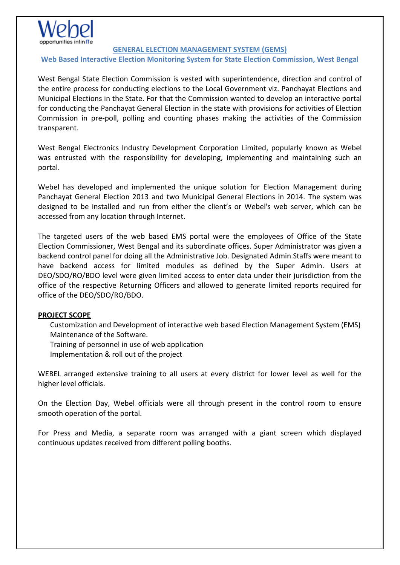**GENERAL ELECTION MANAGEMENT SYSTEM (GEMS)**

**Web Based Interactive Election Monitoring System for State Election Commission, West Bengal**

West Bengal State Election Commission is vested with superintendence, direction and control of the entire process for conducting elections to the Local Government viz. Panchayat Elections and Municipal Elections in the State. For that the Commission wanted to develop an interactive portal for conducting the Panchayat General Election in the state with provisions for activities of Election Commission in pre-poll, polling and counting phases making the activities of the Commission transparent.

West Bengal Electronics Industry Development Corporation Limited, popularly known as Webel was entrusted with the responsibility for developing, implementing and maintaining such an portal.

Webel has developed and implemented the unique solution for Election Management during Panchayat General Election 2013 and two Municipal General Elections in 2014. The system was designed to be installed and run from either the client's or Webel's web server, which can be accessed from any location through Internet.

The targeted users of the web based EMS portal were the employees of Office of the State Election Commissioner, West Bengal and its subordinate offices. Super Administrator was given a backend control panel for doing all the Administrative Job. Designated Admin Staffs were meant to have backend access for limited modules as defined by the Super Admin. Users at DEO/SDO/RO/BDO level were given limited access to enter data under their jurisdiction from the office of the respective Returning Officers and allowed to generate limited reports required for office of the DEO/SDO/RO/BDO.

## **PROJECT SCOPE**

Customization and Development of interactive web based Election Management System (EMS) Maintenance of the Software.

Training of personnel in use of web application

Implementation & roll out of the project

WEBEL arranged extensive training to all users at every district for lower level as well for the higher level officials.

On the Election Day, Webel officials were all through present in the control room to ensure smooth operation of the portal.

For Press and Media, a separate room was arranged with a giant screen which displayed continuous updates received from different polling booths.